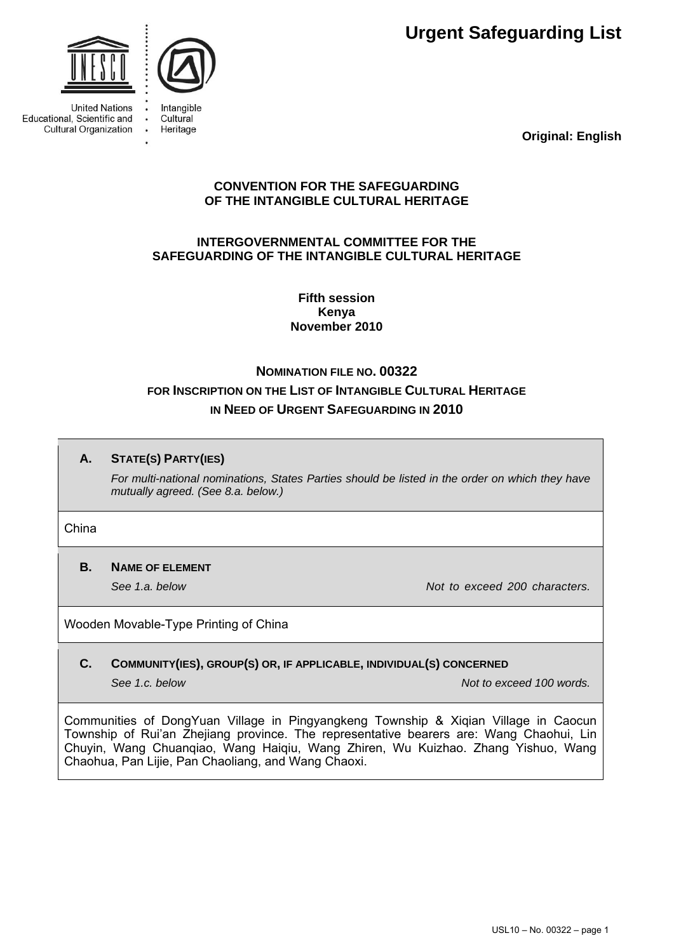**Urgent Safeguarding List**



**United Nations** Educational, Scientific and **Cultural Organization** 



Cultural Heritage  $\ddot{\phantom{a}}$ 

**Original: English**

## **CONVENTION FOR THE SAFEGUARDING OF THE INTANGIBLE CULTURAL HERITAGE**

## **INTERGOVERNMENTAL COMMITTEE FOR THE SAFEGUARDING OF THE INTANGIBLE CULTURAL HERITAGE**

**Fifth session Kenya November 2010** 

# **NOMINATION FILE NO. 00322 FOR INSCRIPTION ON THE LIST OF INTANGIBLE CULTURAL HERITAGE IN NEED OF URGENT SAFEGUARDING IN 2010**

## **A. STATE(S) PARTY(IES)**

*For multi-national nominations, States Parties should be listed in the order on which they have mutually agreed. (See 8.a. below.)* 

#### China

## **B. NAME OF ELEMENT**

**See 1.a. below** *See 1.a.* below *Not to exceed 200 characters. Not to exceed 200 characters.* 

## Wooden Movable-Type Printing of China

## **C. COMMUNITY(IES), GROUP(S) OR, IF APPLICABLE, INDIVIDUAL(S) CONCERNED**

**See 1.c. below Not to exceed 100 words.**  $\overline{a}$  Not to exceed 100 words.

Communities of DongYuan Village in Pingyangkeng Township & Xiqian Village in Caocun Township of Rui'an Zhejiang province. The representative bearers are: Wang Chaohui, Lin Chuyin, Wang Chuanqiao, Wang Haiqiu, Wang Zhiren, Wu Kuizhao. Zhang Yishuo, Wang Chaohua, Pan Lijie, Pan Chaoliang, and Wang Chaoxi.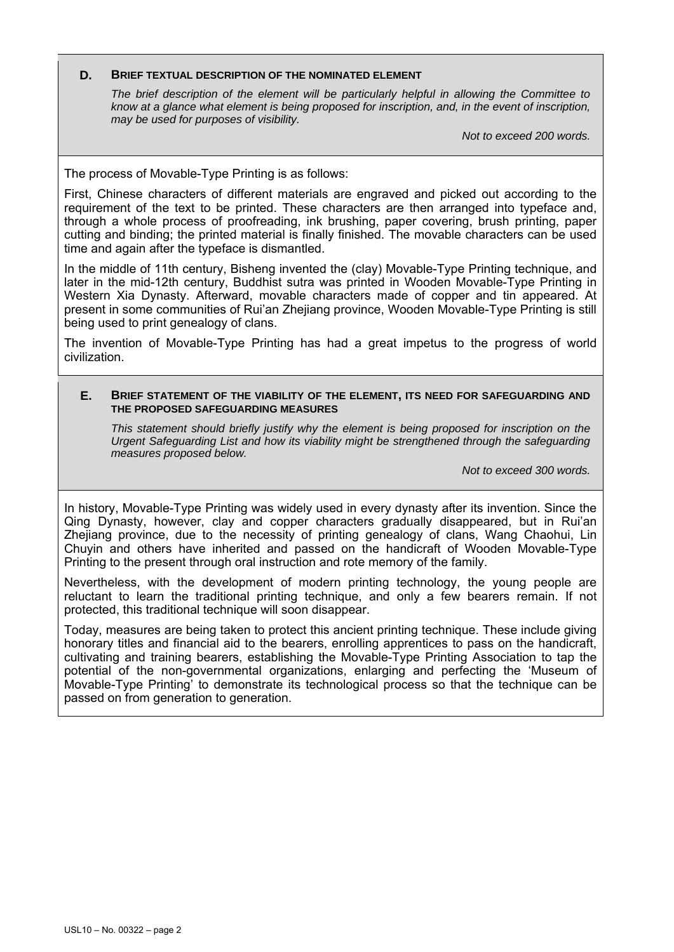#### **D. BRIEF TEXTUAL DESCRIPTION OF THE NOMINATED ELEMENT**

*The brief description of the element will be particularly helpful in allowing the Committee to know at a glance what element is being proposed for inscription, and, in the event of inscription, may be used for purposes of visibility.* 

*Not to exceed 200 words.* 

The process of Movable-Type Printing is as follows:

First, Chinese characters of different materials are engraved and picked out according to the requirement of the text to be printed. These characters are then arranged into typeface and, through a whole process of proofreading, ink brushing, paper covering, brush printing, paper cutting and binding; the printed material is finally finished. The movable characters can be used time and again after the typeface is dismantled.

In the middle of 11th century, Bisheng invented the (clay) Movable-Type Printing technique, and later in the mid-12th century, Buddhist sutra was printed in Wooden Movable-Type Printing in Western Xia Dynasty. Afterward, movable characters made of copper and tin appeared. At present in some communities of Rui'an Zhejiang province, Wooden Movable-Type Printing is still being used to print genealogy of clans.

The invention of Movable-Type Printing has had a great impetus to the progress of world civilization.

#### **E. BRIEF STATEMENT OF THE VIABILITY OF THE ELEMENT, ITS NEED FOR SAFEGUARDING AND THE PROPOSED SAFEGUARDING MEASURES**

*This statement should briefly justify why the element is being proposed for inscription on the Urgent Safeguarding List and how its viability might be strengthened through the safeguarding measures proposed below.* 

*Not to exceed 300 words.* 

In history, Movable-Type Printing was widely used in every dynasty after its invention. Since the Qing Dynasty, however, clay and copper characters gradually disappeared, but in Rui'an Zhejiang province, due to the necessity of printing genealogy of clans, Wang Chaohui, Lin Chuyin and others have inherited and passed on the handicraft of Wooden Movable-Type Printing to the present through oral instruction and rote memory of the family.

Nevertheless, with the development of modern printing technology, the young people are reluctant to learn the traditional printing technique, and only a few bearers remain. If not protected, this traditional technique will soon disappear.

Today, measures are being taken to protect this ancient printing technique. These include giving honorary titles and financial aid to the bearers, enrolling apprentices to pass on the handicraft, cultivating and training bearers, establishing the Movable-Type Printing Association to tap the potential of the non-governmental organizations, enlarging and perfecting the 'Museum of Movable-Type Printing' to demonstrate its technological process so that the technique can be passed on from generation to generation.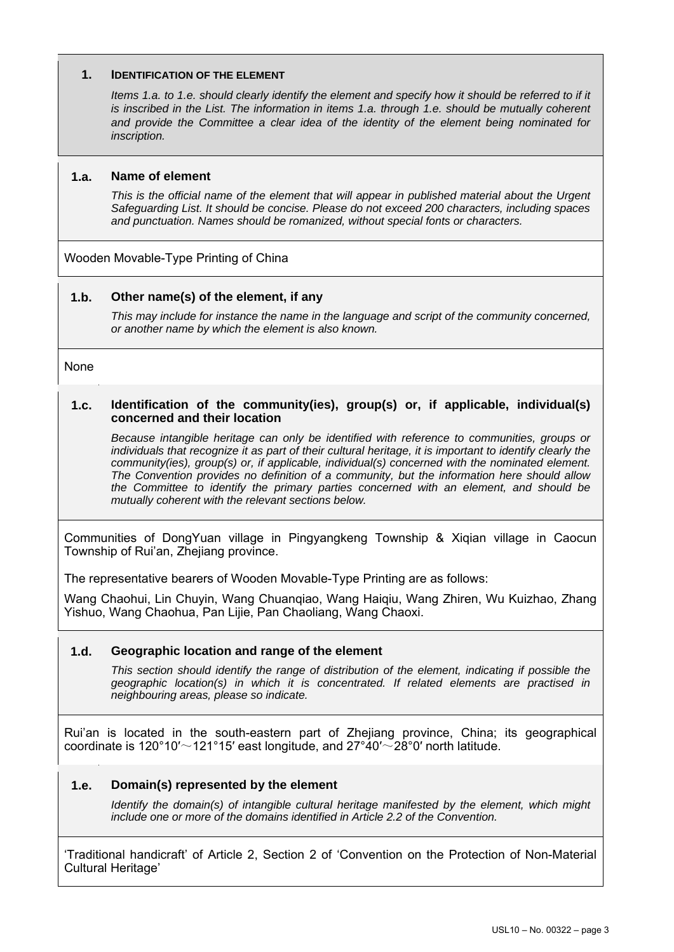### **1. IDENTIFICATION OF THE ELEMENT**

*Items 1.a. to 1.e. should clearly identify the element and specify how it should be referred to if it* is inscribed in the List. The information in items 1.a. through 1.e. should be mutually coherent *and provide the Committee a clear idea of the identity of the element being nominated for inscription.*

### **1.a. Name of element**

*This is the official name of the element that will appear in published material about the Urgent Safeguarding List. It should be concise. Please do not exceed 200 characters, including spaces and punctuation. Names should be romanized, without special fonts or characters.* 

Wooden Movable-Type Printing of China

### **1.b. Other name(s) of the element, if any**

*This may include for instance the name in the language and script of the community concerned, or another name by which the element is also known.* 

None

#### **1.c. Identification of the community(ies), group(s) or, if applicable, individual(s) concerned and their location**

*Because intangible heritage can only be identified with reference to communities, groups or individuals that recognize it as part of their cultural heritage, it is important to identify clearly the community(ies), group(s) or, if applicable, individual(s) concerned with the nominated element. The Convention provides no definition of a community, but the information here should allow the Committee to identify the primary parties concerned with an element, and should be mutually coherent with the relevant sections below.* 

Communities of DongYuan village in Pingyangkeng Township & Xiqian village in Caocun Township of Rui'an, Zheijang province.

The representative bearers of Wooden Movable-Type Printing are as follows:

Wang Chaohui, Lin Chuyin, Wang Chuanqiao, Wang Haiqiu, Wang Zhiren, Wu Kuizhao, Zhang Yishuo, Wang Chaohua, Pan Lijie, Pan Chaoliang, Wang Chaoxi.

## **1.d. Geographic location and range of the element**

*This section should identify the range of distribution of the element, indicating if possible the geographic location(s) in which it is concentrated. If related elements are practised in neighbouring areas, please so indicate.* 

Rui'an is located in the south-eastern part of Zhejiang province, China; its geographical coordinate is 120°10′ $\sim$ 121°15′ east longitude, and 27°40′ $\sim$ 28°0′ north latitude.

## **1.e. Domain(s) represented by the element**

*Identify the domain(s) of intangible cultural heritage manifested by the element, which might include one or more of the domains identified in Article 2.2 of the Convention.* 

'Traditional handicraft' of Article 2, Section 2 of 'Convention on the Protection of Non-Material Cultural Heritage'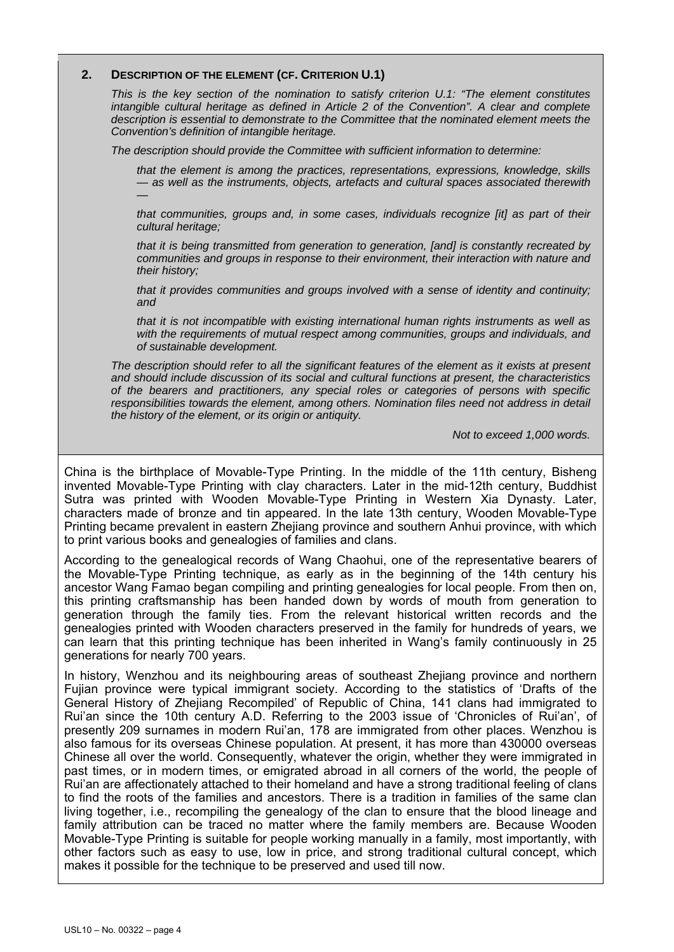#### **2. DESCRIPTION OF THE ELEMENT (CF. CRITERION U.1)**

*This is the key section of the nomination to satisfy criterion U.1: "The element constitutes intangible cultural heritage as defined in Article 2 of the Convention". A clear and complete description is essential to demonstrate to the Committee that the nominated element meets the Convention's definition of intangible heritage.* 

*The description should provide the Committee with sufficient information to determine:* 

*that the element is among the practices, representations, expressions, knowledge, skills — as well as the instruments, objects, artefacts and cultural spaces associated therewith —* 

*that communities, groups and, in some cases, individuals recognize [it] as part of their cultural heritage;* 

*that it is being transmitted from generation to generation, [and] is constantly recreated by communities and groups in response to their environment, their interaction with nature and their history;* 

*that it provides communities and groups involved with a sense of identity and continuity; and* 

*that it is not incompatible with existing international human rights instruments as well as*  with the requirements of mutual respect among communities, groups and individuals, and *of sustainable development.* 

*The description should refer to all the significant features of the element as it exists at present and should include discussion of its social and cultural functions at present, the characteristics of the bearers and practitioners, any special roles or categories of persons with specific*  responsibilities towards the element, among others. Nomination files need not address in detail *the history of the element, or its origin or antiquity.* 

*Not to exceed 1,000 words.* 

China is the birthplace of Movable-Type Printing. In the middle of the 11th century, Bisheng invented Movable-Type Printing with clay characters. Later in the mid-12th century, Buddhist Sutra was printed with Wooden Movable-Type Printing in Western Xia Dynasty. Later, characters made of bronze and tin appeared. In the late 13th century, Wooden Movable-Type Printing became prevalent in eastern Zhejiang province and southern Anhui province, with which to print various books and genealogies of families and clans.

According to the genealogical records of Wang Chaohui, one of the representative bearers of the Movable-Type Printing technique, as early as in the beginning of the 14th century his ancestor Wang Famao began compiling and printing genealogies for local people. From then on, this printing craftsmanship has been handed down by words of mouth from generation to generation through the family ties. From the relevant historical written records and the genealogies printed with Wooden characters preserved in the family for hundreds of years, we can learn that this printing technique has been inherited in Wang's family continuously in 25 generations for nearly 700 years.

In history, Wenzhou and its neighbouring areas of southeast Zhejiang province and northern Fujian province were typical immigrant society. According to the statistics of 'Drafts of the General History of Zhejiang Recompiled' of Republic of China, 141 clans had immigrated to Rui'an since the 10th century A.D. Referring to the 2003 issue of 'Chronicles of Rui'an', of presently 209 surnames in modern Rui'an, 178 are immigrated from other places. Wenzhou is also famous for its overseas Chinese population. At present, it has more than 430000 overseas Chinese all over the world. Consequently, whatever the origin, whether they were immigrated in past times, or in modern times, or emigrated abroad in all corners of the world, the people of Rui'an are affectionately attached to their homeland and have a strong traditional feeling of clans to find the roots of the families and ancestors. There is a tradition in families of the same clan living together, i.e., recompiling the genealogy of the clan to ensure that the blood lineage and family attribution can be traced no matter where the family members are. Because Wooden Movable-Type Printing is suitable for people working manually in a family, most importantly, with other factors such as easy to use, low in price, and strong traditional cultural concept, which makes it possible for the technique to be preserved and used till now.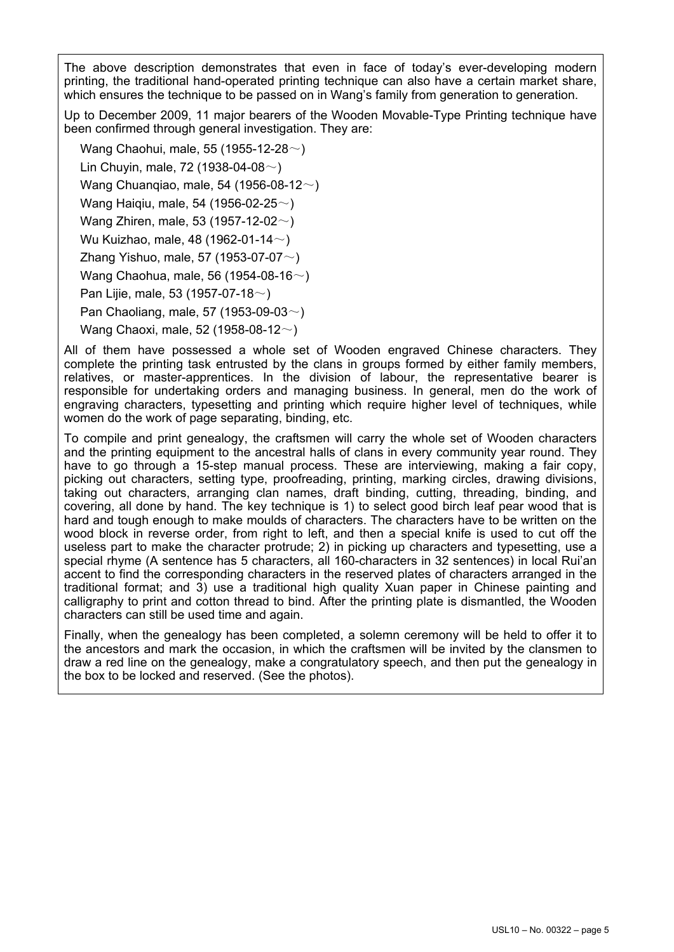The above description demonstrates that even in face of today's ever-developing modern printing, the traditional hand-operated printing technique can also have a certain market share, which ensures the technique to be passed on in Wang's family from generation to generation.

Up to December 2009, 11 major bearers of the Wooden Movable-Type Printing technique have been confirmed through general investigation. They are:

Wang Chaohui, male, 55 (1955-12-28 $\sim$ ) Lin Chuyin, male, 72 (1938-04-08 $\sim$ ) Wang Chuanqiao, male, 54 (1956-08-12~) Wang Haiqiu, male, 54 (1956-02-25~) Wang Zhiren, male, 53 (1957-12-02 $\sim$ ) Wu Kuizhao, male, 48 (1962-01-14 $\sim$ ) Zhang Yishuo, male, 57 (1953-07-07 $\sim$ ) Wang Chaohua, male, 56 (1954-08-16~) Pan Lijie, male, 53 (1957-07-18 $\sim$ ) Pan Chaoliang, male, 57 (1953-09-03 $\sim$ ) Wang Chaoxi, male, 52 (1958-08-12~)

All of them have possessed a whole set of Wooden engraved Chinese characters. They complete the printing task entrusted by the clans in groups formed by either family members, relatives, or master-apprentices. In the division of labour, the representative bearer is responsible for undertaking orders and managing business. In general, men do the work of engraving characters, typesetting and printing which require higher level of techniques, while women do the work of page separating, binding, etc.

To compile and print genealogy, the craftsmen will carry the whole set of Wooden characters and the printing equipment to the ancestral halls of clans in every community year round. They have to go through a 15-step manual process. These are interviewing, making a fair copy, picking out characters, setting type, proofreading, printing, marking circles, drawing divisions, taking out characters, arranging clan names, draft binding, cutting, threading, binding, and covering, all done by hand. The key technique is 1) to select good birch leaf pear wood that is hard and tough enough to make moulds of characters. The characters have to be written on the wood block in reverse order, from right to left, and then a special knife is used to cut off the useless part to make the character protrude; 2) in picking up characters and typesetting, use a special rhyme (A sentence has 5 characters, all 160-characters in 32 sentences) in local Rui'an accent to find the corresponding characters in the reserved plates of characters arranged in the traditional format; and 3) use a traditional high quality Xuan paper in Chinese painting and calligraphy to print and cotton thread to bind. After the printing plate is dismantled, the Wooden characters can still be used time and again.

Finally, when the genealogy has been completed, a solemn ceremony will be held to offer it to the ancestors and mark the occasion, in which the craftsmen will be invited by the clansmen to draw a red line on the genealogy, make a congratulatory speech, and then put the genealogy in the box to be locked and reserved. (See the photos).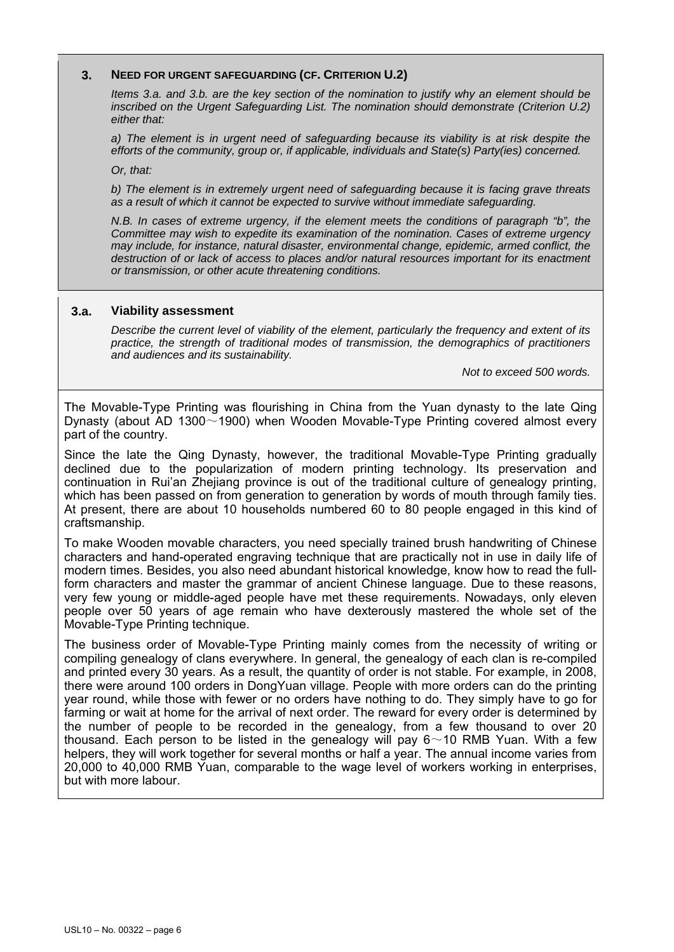#### **3. NEED FOR URGENT SAFEGUARDING (CF. CRITERION U.2)**

*Items 3.a. and 3.b. are the key section of the nomination to justify why an element should be inscribed on the Urgent Safeguarding List. The nomination should demonstrate (Criterion U.2) either that:* 

*a) The element is in urgent need of safeguarding because its viability is at risk despite the efforts of the community, group or, if applicable, individuals and State(s) Party(ies) concerned.* 

*Or, that:* 

*b) The element is in extremely urgent need of safeguarding because it is facing grave threats as a result of which it cannot be expected to survive without immediate safeguarding.* 

*N.B. In cases of extreme urgency, if the element meets the conditions of paragraph "b", the Committee may wish to expedite its examination of the nomination. Cases of extreme urgency may include, for instance, natural disaster, environmental change, epidemic, armed conflict, the destruction of or lack of access to places and/or natural resources important for its enactment or transmission, or other acute threatening conditions.*

#### **3.a. Viability assessment**

*Describe the current level of viability of the element, particularly the frequency and extent of its practice, the strength of traditional modes of transmission, the demographics of practitioners and audiences and its sustainability.* 

*Not to exceed 500 words.* 

The Movable-Type Printing was flourishing in China from the Yuan dynasty to the late Qing Dynasty (about AD 1300~1900) when Wooden Movable-Type Printing covered almost every part of the country.

Since the late the Qing Dynasty, however, the traditional Movable-Type Printing gradually declined due to the popularization of modern printing technology. Its preservation and continuation in Rui'an Zhejiang province is out of the traditional culture of genealogy printing, which has been passed on from generation to generation by words of mouth through family ties. At present, there are about 10 households numbered 60 to 80 people engaged in this kind of craftsmanship.

To make Wooden movable characters, you need specially trained brush handwriting of Chinese characters and hand-operated engraving technique that are practically not in use in daily life of modern times. Besides, you also need abundant historical knowledge, know how to read the fullform characters and master the grammar of ancient Chinese language. Due to these reasons, very few young or middle-aged people have met these requirements. Nowadays, only eleven people over 50 years of age remain who have dexterously mastered the whole set of the Movable-Type Printing technique.

The business order of Movable-Type Printing mainly comes from the necessity of writing or compiling genealogy of clans everywhere. In general, the genealogy of each clan is re-compiled and printed every 30 years. As a result, the quantity of order is not stable. For example, in 2008, there were around 100 orders in DongYuan village. People with more orders can do the printing year round, while those with fewer or no orders have nothing to do. They simply have to go for farming or wait at home for the arrival of next order. The reward for every order is determined by the number of people to be recorded in the genealogy, from a few thousand to over 20 thousand. Each person to be listed in the genealogy will pay  $6~10$  RMB Yuan. With a few helpers, they will work together for several months or half a year. The annual income varies from 20,000 to 40,000 RMB Yuan, comparable to the wage level of workers working in enterprises, but with more labour.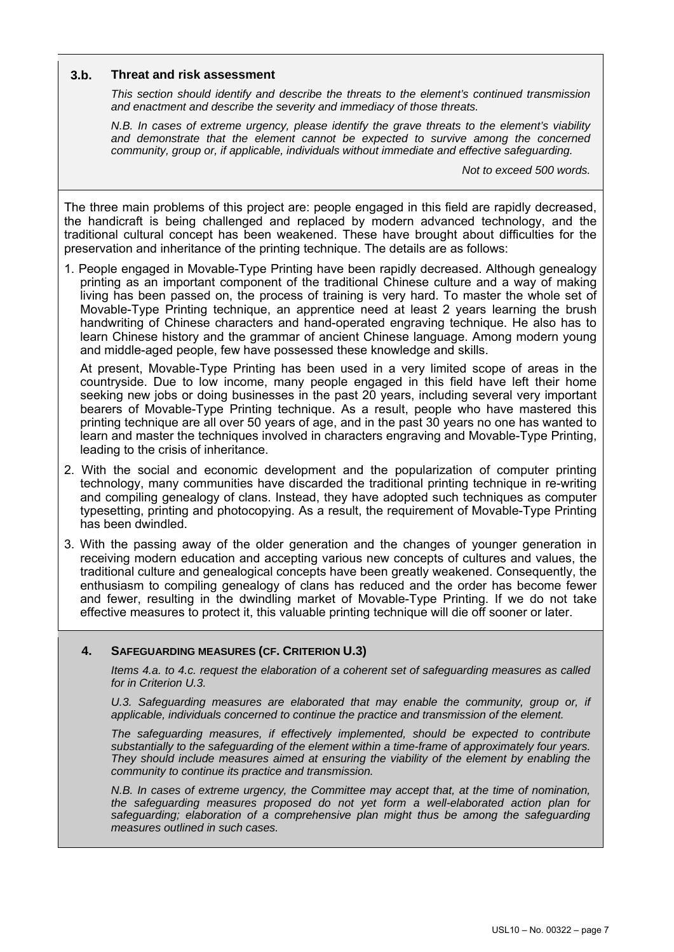### **3.b. Threat and risk assessment**

*This section should identify and describe the threats to the element's continued transmission and enactment and describe the severity and immediacy of those threats.* 

*N.B. In cases of extreme urgency, please identify the grave threats to the element's viability and demonstrate that the element cannot be expected to survive among the concerned community, group or, if applicable, individuals without immediate and effective safeguarding.* 

*Not to exceed 500 words.* 

The three main problems of this project are: people engaged in this field are rapidly decreased, the handicraft is being challenged and replaced by modern advanced technology, and the traditional cultural concept has been weakened. These have brought about difficulties for the preservation and inheritance of the printing technique. The details are as follows:

1. People engaged in Movable-Type Printing have been rapidly decreased. Although genealogy printing as an important component of the traditional Chinese culture and a way of making living has been passed on, the process of training is very hard. To master the whole set of Movable-Type Printing technique, an apprentice need at least 2 years learning the brush handwriting of Chinese characters and hand-operated engraving technique. He also has to learn Chinese history and the grammar of ancient Chinese language. Among modern young and middle-aged people, few have possessed these knowledge and skills.

At present, Movable-Type Printing has been used in a very limited scope of areas in the countryside. Due to low income, many people engaged in this field have left their home seeking new jobs or doing businesses in the past 20 years, including several very important bearers of Movable-Type Printing technique. As a result, people who have mastered this printing technique are all over 50 years of age, and in the past 30 years no one has wanted to learn and master the techniques involved in characters engraving and Movable-Type Printing, leading to the crisis of inheritance.

- 2. With the social and economic development and the popularization of computer printing technology, many communities have discarded the traditional printing technique in re-writing and compiling genealogy of clans. Instead, they have adopted such techniques as computer typesetting, printing and photocopying. As a result, the requirement of Movable-Type Printing has been dwindled.
- 3. With the passing away of the older generation and the changes of younger generation in receiving modern education and accepting various new concepts of cultures and values, the traditional culture and genealogical concepts have been greatly weakened. Consequently, the enthusiasm to compiling genealogy of clans has reduced and the order has become fewer and fewer, resulting in the dwindling market of Movable-Type Printing. If we do not take effective measures to protect it, this valuable printing technique will die off sooner or later.

#### **4. SAFEGUARDING MEASURES (CF. CRITERION U.3)**

*Items 4.a. to 4.c. request the elaboration of a coherent set of safeguarding measures as called for in Criterion U.3.* 

U.3. Safeguarding measures are elaborated that may enable the community, group or, if *applicable, individuals concerned to continue the practice and transmission of the element.* 

*The safeguarding measures, if effectively implemented, should be expected to contribute substantially to the safeguarding of the element within a time-frame of approximately four years. They should include measures aimed at ensuring the viability of the element by enabling the community to continue its practice and transmission.* 

*N.B. In cases of extreme urgency, the Committee may accept that, at the time of nomination, the safeguarding measures proposed do not yet form a well-elaborated action plan for safeguarding; elaboration of a comprehensive plan might thus be among the safeguarding measures outlined in such cases.*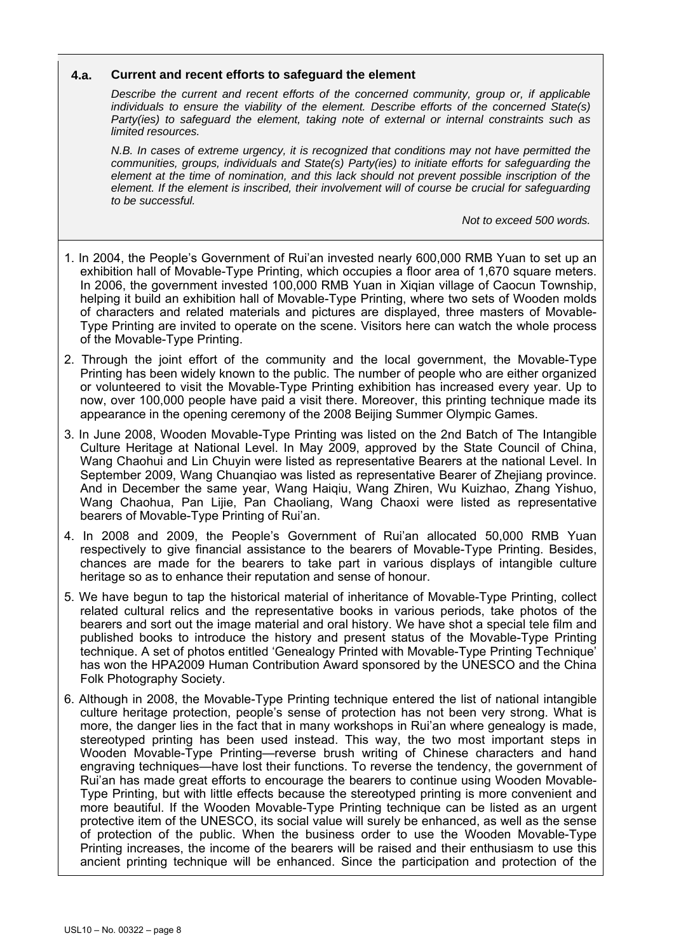#### **4.a. Current and recent efforts to safeguard the element**

*Describe the current and recent efforts of the concerned community, group or, if applicable individuals to ensure the viability of the element. Describe efforts of the concerned State(s) Party(ies) to safeguard the element, taking note of external or internal constraints such as limited resources.* 

*N.B. In cases of extreme urgency, it is recognized that conditions may not have permitted the communities, groups, individuals and State(s) Party(ies) to initiate efforts for safeguarding the element at the time of nomination, and this lack should not prevent possible inscription of the element. If the element is inscribed, their involvement will of course be crucial for safeguarding to be successful.* 

*Not to exceed 500 words.* 

- 1. In 2004, the People's Government of Rui'an invested nearly 600,000 RMB Yuan to set up an exhibition hall of Movable-Type Printing, which occupies a floor area of 1,670 square meters. In 2006, the government invested 100,000 RMB Yuan in Xiqian village of Caocun Township, helping it build an exhibition hall of Movable-Type Printing, where two sets of Wooden molds of characters and related materials and pictures are displayed, three masters of Movable-Type Printing are invited to operate on the scene. Visitors here can watch the whole process of the Movable-Type Printing.
- 2. Through the joint effort of the community and the local government, the Movable-Type Printing has been widely known to the public. The number of people who are either organized or volunteered to visit the Movable-Type Printing exhibition has increased every year. Up to now, over 100,000 people have paid a visit there. Moreover, this printing technique made its appearance in the opening ceremony of the 2008 Beijing Summer Olympic Games.
- 3. In June 2008, Wooden Movable-Type Printing was listed on the 2nd Batch of The Intangible Culture Heritage at National Level. In May 2009, approved by the State Council of China, Wang Chaohui and Lin Chuyin were listed as representative Bearers at the national Level. In September 2009, Wang Chuanqiao was listed as representative Bearer of Zhejiang province. And in December the same year, Wang Haiqiu, Wang Zhiren, Wu Kuizhao, Zhang Yishuo, Wang Chaohua, Pan Lijie, Pan Chaoliang, Wang Chaoxi were listed as representative bearers of Movable-Type Printing of Rui'an.
- 4. In 2008 and 2009, the People's Government of Rui'an allocated 50,000 RMB Yuan respectively to give financial assistance to the bearers of Movable-Type Printing. Besides, chances are made for the bearers to take part in various displays of intangible culture heritage so as to enhance their reputation and sense of honour.
- 5. We have begun to tap the historical material of inheritance of Movable-Type Printing, collect related cultural relics and the representative books in various periods, take photos of the bearers and sort out the image material and oral history. We have shot a special tele film and published books to introduce the history and present status of the Movable-Type Printing technique. A set of photos entitled 'Genealogy Printed with Movable-Type Printing Technique' has won the HPA2009 Human Contribution Award sponsored by the UNESCO and the China Folk Photography Society.
- 6. Although in 2008, the Movable-Type Printing technique entered the list of national intangible culture heritage protection, people's sense of protection has not been very strong. What is more, the danger lies in the fact that in many workshops in Rui'an where genealogy is made, stereotyped printing has been used instead. This way, the two most important steps in Wooden Movable-Type Printing—reverse brush writing of Chinese characters and hand engraving techniques—have lost their functions. To reverse the tendency, the government of Rui'an has made great efforts to encourage the bearers to continue using Wooden Movable-Type Printing, but with little effects because the stereotyped printing is more convenient and more beautiful. If the Wooden Movable-Type Printing technique can be listed as an urgent protective item of the UNESCO, its social value will surely be enhanced, as well as the sense of protection of the public. When the business order to use the Wooden Movable-Type Printing increases, the income of the bearers will be raised and their enthusiasm to use this ancient printing technique will be enhanced. Since the participation and protection of the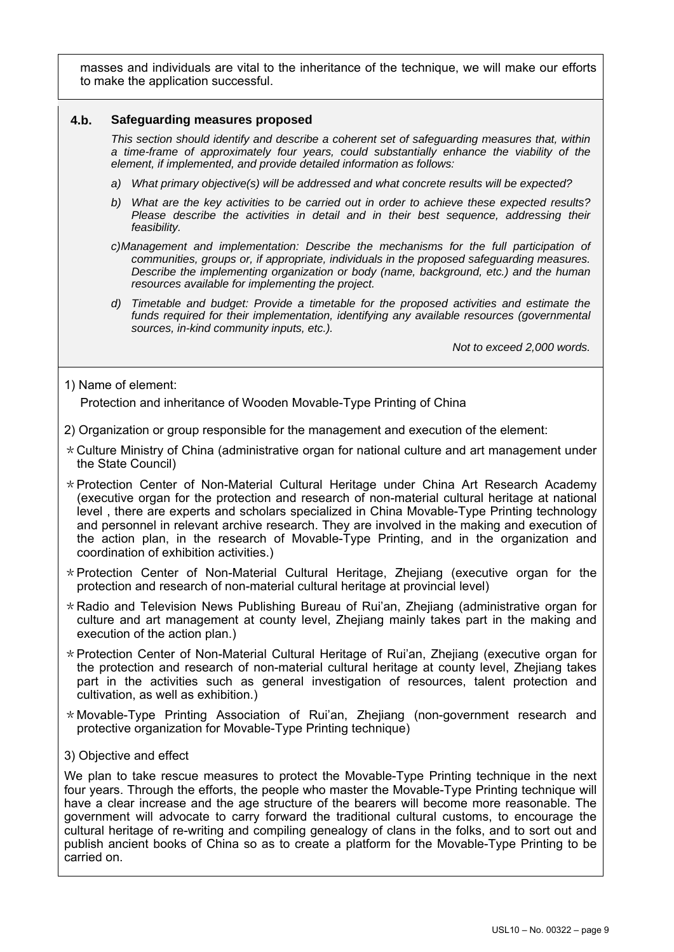masses and individuals are vital to the inheritance of the technique, we will make our efforts to make the application successful.

#### **4.b. Safeguarding measures proposed**

*This section should identify and describe a coherent set of safeguarding measures that, within a time-frame of approximately four years, could substantially enhance the viability of the element, if implemented, and provide detailed information as follows:* 

- *a) What primary objective(s) will be addressed and what concrete results will be expected?*
- *b) What are the key activities to be carried out in order to achieve these expected results? Please describe the activities in detail and in their best sequence, addressing their feasibility.*
- *c)Management and implementation: Describe the mechanisms for the full participation of communities, groups or, if appropriate, individuals in the proposed safeguarding measures. Describe the implementing organization or body (name, background, etc.) and the human resources available for implementing the project.*
- *d) Timetable and budget: Provide a timetable for the proposed activities and estimate the*  funds required for their implementation, identifying any available resources (governmental *sources, in-kind community inputs, etc.).*

*Not to exceed 2,000 words.* 

1) Name of element:

Protection and inheritance of Wooden Movable-Type Printing of China

- 2) Organization or group responsible for the management and execution of the element:
- $*$  Culture Ministry of China (administrative organ for national culture and art management under the State Council)
- $*$  Protection Center of Non-Material Cultural Heritage under China Art Research Academy (executive organ for the protection and research of non-material cultural heritage at national level , there are experts and scholars specialized in China Movable-Type Printing technology and personnel in relevant archive research. They are involved in the making and execution of the action plan, in the research of Movable-Type Printing, and in the organization and coordination of exhibition activities.)
- $*$  Protection Center of Non-Material Cultural Heritage, Zhejiang (executive organ for the protection and research of non-material cultural heritage at provincial level)
- \*Radio and Television News Publishing Bureau of Rui'an, Zhejiang (administrative organ for culture and art management at county level, Zhejiang mainly takes part in the making and execution of the action plan.)
- \*Protection Center of Non-Material Cultural Heritage of Rui'an, Zhejiang (executive organ for the protection and research of non-material cultural heritage at county level, Zhejiang takes part in the activities such as general investigation of resources, talent protection and cultivation, as well as exhibition.)
- \*Movable-Type Printing Association of Rui'an, Zhejiang (non-government research and protective organization for Movable-Type Printing technique)
- 3) Objective and effect

We plan to take rescue measures to protect the Movable-Type Printing technique in the next four years. Through the efforts, the people who master the Movable-Type Printing technique will have a clear increase and the age structure of the bearers will become more reasonable. The government will advocate to carry forward the traditional cultural customs, to encourage the cultural heritage of re-writing and compiling genealogy of clans in the folks, and to sort out and publish ancient books of China so as to create a platform for the Movable-Type Printing to be carried on.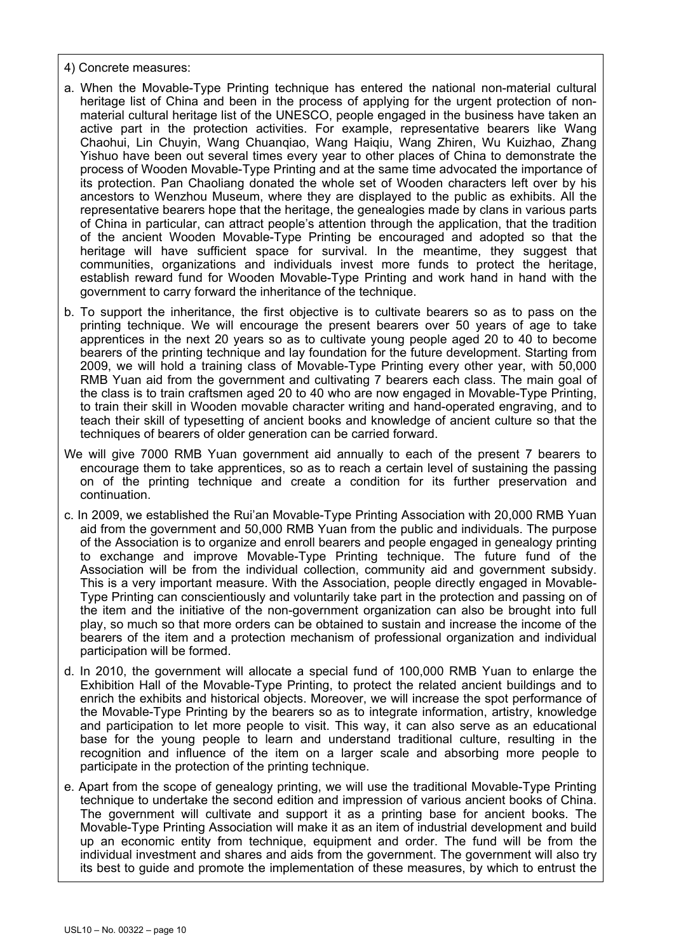4) Concrete measures:

- a. When the Movable-Type Printing technique has entered the national non-material cultural heritage list of China and been in the process of applying for the urgent protection of nonmaterial cultural heritage list of the UNESCO, people engaged in the business have taken an active part in the protection activities. For example, representative bearers like Wang Chaohui, Lin Chuyin, Wang Chuanqiao, Wang Haiqiu, Wang Zhiren, Wu Kuizhao, Zhang Yishuo have been out several times every year to other places of China to demonstrate the process of Wooden Movable-Type Printing and at the same time advocated the importance of its protection. Pan Chaoliang donated the whole set of Wooden characters left over by his ancestors to Wenzhou Museum, where they are displayed to the public as exhibits. All the representative bearers hope that the heritage, the genealogies made by clans in various parts of China in particular, can attract people's attention through the application, that the tradition of the ancient Wooden Movable-Type Printing be encouraged and adopted so that the heritage will have sufficient space for survival. In the meantime, they suggest that communities, organizations and individuals invest more funds to protect the heritage, establish reward fund for Wooden Movable-Type Printing and work hand in hand with the government to carry forward the inheritance of the technique.
- b. To support the inheritance, the first objective is to cultivate bearers so as to pass on the printing technique. We will encourage the present bearers over 50 years of age to take apprentices in the next 20 years so as to cultivate young people aged 20 to 40 to become bearers of the printing technique and lay foundation for the future development. Starting from 2009, we will hold a training class of Movable-Type Printing every other year, with 50,000 RMB Yuan aid from the government and cultivating 7 bearers each class. The main goal of the class is to train craftsmen aged 20 to 40 who are now engaged in Movable-Type Printing, to train their skill in Wooden movable character writing and hand-operated engraving, and to teach their skill of typesetting of ancient books and knowledge of ancient culture so that the techniques of bearers of older generation can be carried forward.
- We will give 7000 RMB Yuan government aid annually to each of the present 7 bearers to encourage them to take apprentices, so as to reach a certain level of sustaining the passing on of the printing technique and create a condition for its further preservation and continuation.
- c. In 2009, we established the Rui'an Movable-Type Printing Association with 20,000 RMB Yuan aid from the government and 50,000 RMB Yuan from the public and individuals. The purpose of the Association is to organize and enroll bearers and people engaged in genealogy printing to exchange and improve Movable-Type Printing technique. The future fund of the Association will be from the individual collection, community aid and government subsidy. This is a very important measure. With the Association, people directly engaged in Movable-Type Printing can conscientiously and voluntarily take part in the protection and passing on of the item and the initiative of the non-government organization can also be brought into full play, so much so that more orders can be obtained to sustain and increase the income of the bearers of the item and a protection mechanism of professional organization and individual participation will be formed.
- d. In 2010, the government will allocate a special fund of 100,000 RMB Yuan to enlarge the Exhibition Hall of the Movable-Type Printing, to protect the related ancient buildings and to enrich the exhibits and historical objects. Moreover, we will increase the spot performance of the Movable-Type Printing by the bearers so as to integrate information, artistry, knowledge and participation to let more people to visit. This way, it can also serve as an educational base for the young people to learn and understand traditional culture, resulting in the recognition and influence of the item on a larger scale and absorbing more people to participate in the protection of the printing technique.
- e. Apart from the scope of genealogy printing, we will use the traditional Movable-Type Printing technique to undertake the second edition and impression of various ancient books of China. The government will cultivate and support it as a printing base for ancient books. The Movable-Type Printing Association will make it as an item of industrial development and build up an economic entity from technique, equipment and order. The fund will be from the individual investment and shares and aids from the government. The government will also try its best to guide and promote the implementation of these measures, by which to entrust the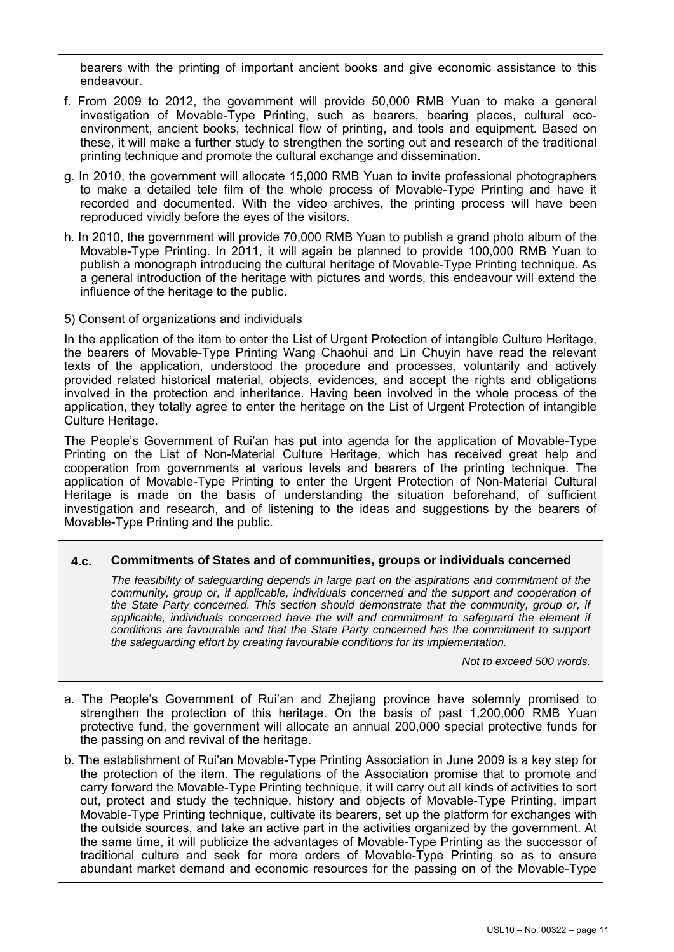bearers with the printing of important ancient books and give economic assistance to this endeavour.

- f. From 2009 to 2012, the government will provide 50,000 RMB Yuan to make a general investigation of Movable-Type Printing, such as bearers, bearing places, cultural ecoenvironment, ancient books, technical flow of printing, and tools and equipment. Based on these, it will make a further study to strengthen the sorting out and research of the traditional printing technique and promote the cultural exchange and dissemination.
- g. In 2010, the government will allocate 15,000 RMB Yuan to invite professional photographers to make a detailed tele film of the whole process of Movable-Type Printing and have it recorded and documented. With the video archives, the printing process will have been reproduced vividly before the eyes of the visitors.
- h. In 2010, the government will provide 70,000 RMB Yuan to publish a grand photo album of the Movable-Type Printing. In 2011, it will again be planned to provide 100,000 RMB Yuan to publish a monograph introducing the cultural heritage of Movable-Type Printing technique. As a general introduction of the heritage with pictures and words, this endeavour will extend the influence of the heritage to the public.
- 5) Consent of organizations and individuals

In the application of the item to enter the List of Urgent Protection of intangible Culture Heritage, the bearers of Movable-Type Printing Wang Chaohui and Lin Chuyin have read the relevant texts of the application, understood the procedure and processes, voluntarily and actively provided related historical material, objects, evidences, and accept the rights and obligations involved in the protection and inheritance. Having been involved in the whole process of the application, they totally agree to enter the heritage on the List of Urgent Protection of intangible Culture Heritage.

The People's Government of Rui'an has put into agenda for the application of Movable-Type Printing on the List of Non-Material Culture Heritage, which has received great help and cooperation from governments at various levels and bearers of the printing technique. The application of Movable-Type Printing to enter the Urgent Protection of Non-Material Cultural Heritage is made on the basis of understanding the situation beforehand, of sufficient investigation and research, and of listening to the ideas and suggestions by the bearers of Movable-Type Printing and the public.

## **4.c. Commitments of States and of communities, groups or individuals concerned**

*The feasibility of safeguarding depends in large part on the aspirations and commitment of the community, group or, if applicable, individuals concerned and the support and cooperation of the State Party concerned. This section should demonstrate that the community, group or, if*  applicable, individuals concerned have the will and commitment to safeguard the element if *conditions are favourable and that the State Party concerned has the commitment to support the safeguarding effort by creating favourable conditions for its implementation.* 

*Not to exceed 500 words.* 

- a. The People's Government of Rui'an and Zhejiang province have solemnly promised to strengthen the protection of this heritage. On the basis of past 1,200,000 RMB Yuan protective fund, the government will allocate an annual 200,000 special protective funds for the passing on and revival of the heritage.
- b. The establishment of Rui'an Movable-Type Printing Association in June 2009 is a key step for the protection of the item. The regulations of the Association promise that to promote and carry forward the Movable-Type Printing technique, it will carry out all kinds of activities to sort out, protect and study the technique, history and objects of Movable-Type Printing, impart Movable-Type Printing technique, cultivate its bearers, set up the platform for exchanges with the outside sources, and take an active part in the activities organized by the government. At the same time, it will publicize the advantages of Movable-Type Printing as the successor of traditional culture and seek for more orders of Movable-Type Printing so as to ensure abundant market demand and economic resources for the passing on of the Movable-Type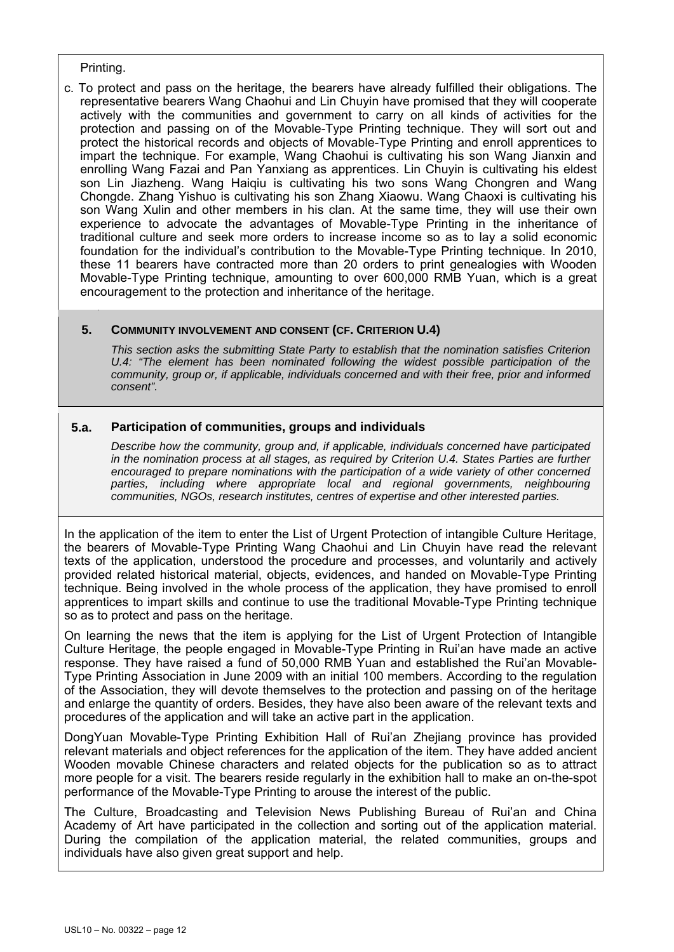#### Printing.

c. To protect and pass on the heritage, the bearers have already fulfilled their obligations. The representative bearers Wang Chaohui and Lin Chuyin have promised that they will cooperate actively with the communities and government to carry on all kinds of activities for the protection and passing on of the Movable-Type Printing technique. They will sort out and protect the historical records and objects of Movable-Type Printing and enroll apprentices to impart the technique. For example, Wang Chaohui is cultivating his son Wang Jianxin and enrolling Wang Fazai and Pan Yanxiang as apprentices. Lin Chuyin is cultivating his eldest son Lin Jiazheng. Wang Haiqiu is cultivating his two sons Wang Chongren and Wang Chongde. Zhang Yishuo is cultivating his son Zhang Xiaowu. Wang Chaoxi is cultivating his son Wang Xulin and other members in his clan. At the same time, they will use their own experience to advocate the advantages of Movable-Type Printing in the inheritance of traditional culture and seek more orders to increase income so as to lay a solid economic foundation for the individual's contribution to the Movable-Type Printing technique. In 2010, these 11 bearers have contracted more than 20 orders to print genealogies with Wooden Movable-Type Printing technique, amounting to over 600,000 RMB Yuan, which is a great encouragement to the protection and inheritance of the heritage.

### **5. COMMUNITY INVOLVEMENT AND CONSENT (CF. CRITERION U.4)**

*This section asks the submitting State Party to establish that the nomination satisfies Criterion U.4: "The element has been nominated following the widest possible participation of the community, group or, if applicable, individuals concerned and with their free, prior and informed consent".* 

### **5.a. Participation of communities, groups and individuals**

*Describe how the community, group and, if applicable, individuals concerned have participated in the nomination process at all stages, as required by Criterion U.4. States Parties are further encouraged to prepare nominations with the participation of a wide variety of other concerned parties, including where appropriate local and regional governments, neighbouring communities, NGOs, research institutes, centres of expertise and other interested parties.* 

In the application of the item to enter the List of Urgent Protection of intangible Culture Heritage, the bearers of Movable-Type Printing Wang Chaohui and Lin Chuyin have read the relevant texts of the application, understood the procedure and processes, and voluntarily and actively provided related historical material, objects, evidences, and handed on Movable-Type Printing technique. Being involved in the whole process of the application, they have promised to enroll apprentices to impart skills and continue to use the traditional Movable-Type Printing technique so as to protect and pass on the heritage.

On learning the news that the item is applying for the List of Urgent Protection of Intangible Culture Heritage, the people engaged in Movable-Type Printing in Rui'an have made an active response. They have raised a fund of 50,000 RMB Yuan and established the Rui'an Movable-Type Printing Association in June 2009 with an initial 100 members. According to the regulation of the Association, they will devote themselves to the protection and passing on of the heritage and enlarge the quantity of orders. Besides, they have also been aware of the relevant texts and procedures of the application and will take an active part in the application.

DongYuan Movable-Type Printing Exhibition Hall of Rui'an Zhejiang province has provided relevant materials and object references for the application of the item. They have added ancient Wooden movable Chinese characters and related objects for the publication so as to attract more people for a visit. The bearers reside regularly in the exhibition hall to make an on-the-spot performance of the Movable-Type Printing to arouse the interest of the public.

The Culture, Broadcasting and Television News Publishing Bureau of Rui'an and China Academy of Art have participated in the collection and sorting out of the application material. During the compilation of the application material, the related communities, groups and individuals have also given great support and help.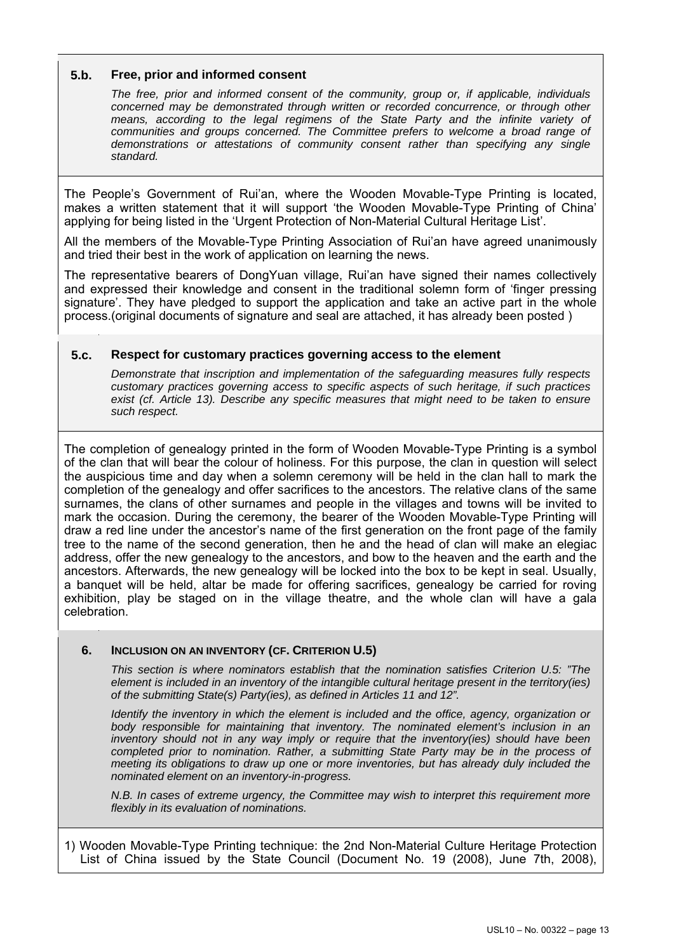### **5.b. Free, prior and informed consent**

*The free, prior and informed consent of the community, group or, if applicable, individuals concerned may be demonstrated through written or recorded concurrence, or through other means, according to the legal regimens of the State Party and the infinite variety of communities and groups concerned. The Committee prefers to welcome a broad range of demonstrations or attestations of community consent rather than specifying any single standard.* 

The People's Government of Rui'an, where the Wooden Movable-Type Printing is located, makes a written statement that it will support 'the Wooden Movable-Type Printing of China' applying for being listed in the 'Urgent Protection of Non-Material Cultural Heritage List'.

All the members of the Movable-Type Printing Association of Rui'an have agreed unanimously and tried their best in the work of application on learning the news.

The representative bearers of DongYuan village, Rui'an have signed their names collectively and expressed their knowledge and consent in the traditional solemn form of 'finger pressing signature'. They have pledged to support the application and take an active part in the whole process.(original documents of signature and seal are attached, it has already been posted )

### **5.c. Respect for customary practices governing access to the element**

*Demonstrate that inscription and implementation of the safeguarding measures fully respects customary practices governing access to specific aspects of such heritage, if such practices exist (cf. Article 13). Describe any specific measures that might need to be taken to ensure such respect.* 

The completion of genealogy printed in the form of Wooden Movable-Type Printing is a symbol of the clan that will bear the colour of holiness. For this purpose, the clan in question will select the auspicious time and day when a solemn ceremony will be held in the clan hall to mark the completion of the genealogy and offer sacrifices to the ancestors. The relative clans of the same surnames, the clans of other surnames and people in the villages and towns will be invited to mark the occasion. During the ceremony, the bearer of the Wooden Movable-Type Printing will draw a red line under the ancestor's name of the first generation on the front page of the family tree to the name of the second generation, then he and the head of clan will make an elegiac address, offer the new genealogy to the ancestors, and bow to the heaven and the earth and the ancestors. Afterwards, the new genealogy will be locked into the box to be kept in seal. Usually, a banquet will be held, altar be made for offering sacrifices, genealogy be carried for roving exhibition, play be staged on in the village theatre, and the whole clan will have a gala celebration.

#### **6. INCLUSION ON AN INVENTORY (CF. CRITERION U.5)**

*This section is where nominators establish that the nomination satisfies Criterion U.5: "The element is included in an inventory of the intangible cultural heritage present in the territory(ies) of the submitting State(s) Party(ies), as defined in Articles 11 and 12".* 

*Identify the inventory in which the element is included and the office, agency, organization or body responsible for maintaining that inventory. The nominated element's inclusion in an inventory should not in any way imply or require that the inventory(ies) should have been completed prior to nomination. Rather, a submitting State Party may be in the process of meeting its obligations to draw up one or more inventories, but has already duly included the nominated element on an inventory-in-progress.* 

*N.B. In cases of extreme urgency, the Committee may wish to interpret this requirement more flexibly in its evaluation of nominations.* 

1) Wooden Movable-Type Printing technique: the 2nd Non-Material Culture Heritage Protection List of China issued by the State Council (Document No. 19 (2008), June 7th, 2008),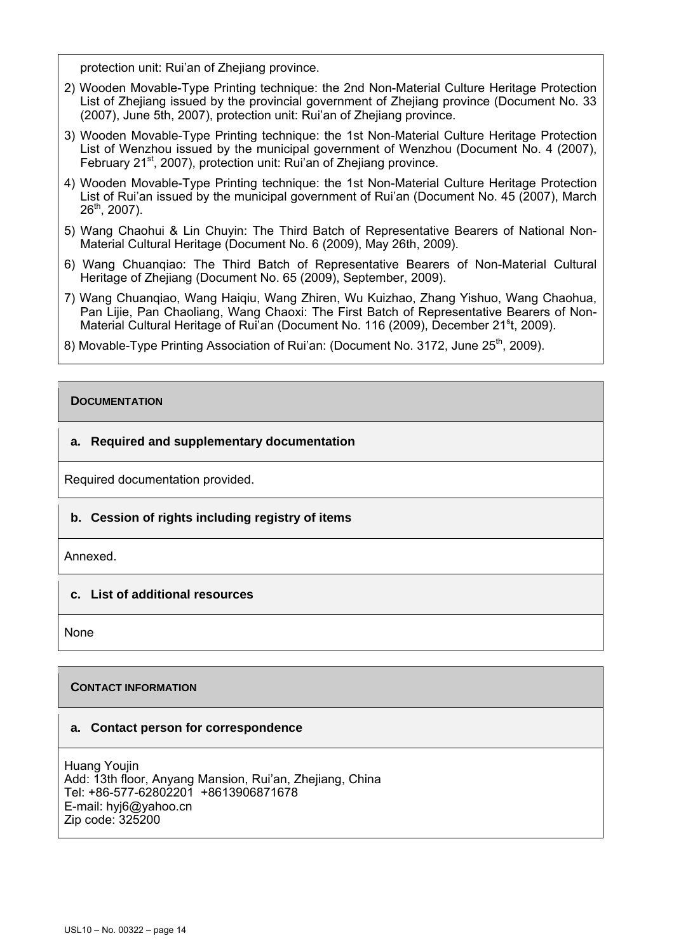protection unit: Rui'an of Zhejiang province.

- 2) Wooden Movable-Type Printing technique: the 2nd Non-Material Culture Heritage Protection List of Zhejiang issued by the provincial government of Zhejiang province (Document No. 33 (2007), June 5th, 2007), protection unit: Rui'an of Zhejiang province.
- 3) Wooden Movable-Type Printing technique: the 1st Non-Material Culture Heritage Protection List of Wenzhou issued by the municipal government of Wenzhou (Document No. 4 (2007), February 21<sup>st</sup>, 2007), protection unit: Rui'an of Zheijang province.
- 4) Wooden Movable-Type Printing technique: the 1st Non-Material Culture Heritage Protection List of Rui'an issued by the municipal government of Rui'an (Document No. 45 (2007), March  $26<sup>th</sup>$ , 2007).
- 5) Wang Chaohui & Lin Chuyin: The Third Batch of Representative Bearers of National Non-Material Cultural Heritage (Document No. 6 (2009), May 26th, 2009).
- 6) Wang Chuanqiao: The Third Batch of Representative Bearers of Non-Material Cultural Heritage of Zhejiang (Document No. 65 (2009), September, 2009).
- 7) Wang Chuanqiao, Wang Haiqiu, Wang Zhiren, Wu Kuizhao, Zhang Yishuo, Wang Chaohua, Pan Lijie, Pan Chaoliang, Wang Chaoxi: The First Batch of Representative Bearers of Non-Material Cultural Heritage of Rui'an (Document No. 116 (2009), December 21<sup>s</sup>t, 2009).
- 8) Movable-Type Printing Association of Rui'an: (Document No. 3172, June 25<sup>th</sup>, 2009).

## **DOCUMENTATION**

### **a. Required and supplementary documentation**

Required documentation provided.

## **b. Cession of rights including registry of items**

Annexed.

#### **c. List of additional resources**

None

#### **CONTACT INFORMATION**

#### **a. Contact person for correspondence**

Huang Youjin Add: 13th floor, Anyang Mansion, Rui'an, Zhejiang, China Tel: +86-577-62802201 +8613906871678 E-mail: hyj6@yahoo.cn Zip code: 325200